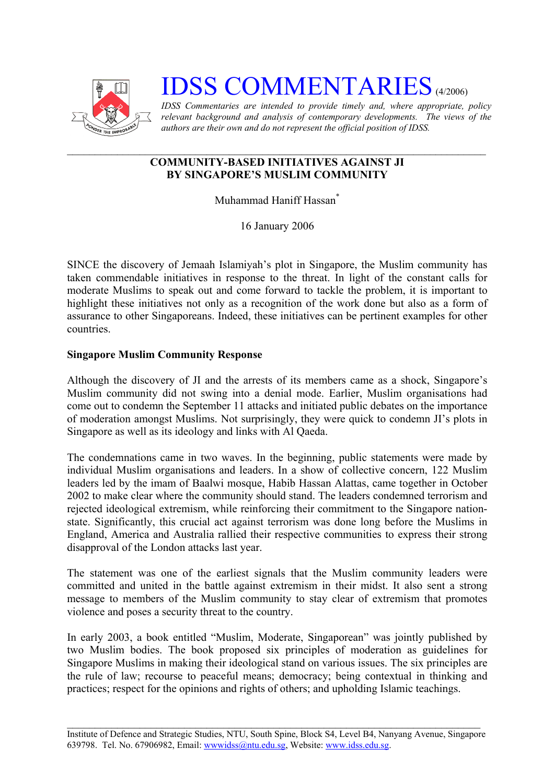

# **IDSS COMMENTARIES** (4/2006)

*IDSS Commentaries are intended to provide timely and, where appropriate, policy relevant background and analysis of contemporary developments. The views of the authors are their own and do not represent the official position of IDSS.* 

## **COMMUNITY-BASED INITIATIVES AGAINST JI BY SINGAPORE'S MUSLIM COMMUNITY**

Muhammad Haniff Hassa[n\\*](#page-2-0)

16 January 2006

SINCE the discovery of Jemaah Islamiyah's plot in Singapore, the Muslim community has taken commendable initiatives in response to the threat. In light of the constant calls for moderate Muslims to speak out and come forward to tackle the problem, it is important to highlight these initiatives not only as a recognition of the work done but also as a form of assurance to other Singaporeans. Indeed, these initiatives can be pertinent examples for other countries.

### **Singapore Muslim Community Response**

Although the discovery of JI and the arrests of its members came as a shock, Singapore's Muslim community did not swing into a denial mode. Earlier, Muslim organisations had come out to condemn the September 11 attacks and initiated public debates on the importance of moderation amongst Muslims. Not surprisingly, they were quick to condemn JI's plots in Singapore as well as its ideology and links with Al Qaeda.

The condemnations came in two waves. In the beginning, public statements were made by individual Muslim organisations and leaders. In a show of collective concern, 122 Muslim leaders led by the imam of Baalwi mosque, Habib Hassan Alattas, came together in October 2002 to make clear where the community should stand. The leaders condemned terrorism and rejected ideological extremism, while reinforcing their commitment to the Singapore nationstate. Significantly, this crucial act against terrorism was done long before the Muslims in England, America and Australia rallied their respective communities to express their strong disapproval of the London attacks last year.

The statement was one of the earliest signals that the Muslim community leaders were committed and united in the battle against extremism in their midst. It also sent a strong message to members of the Muslim community to stay clear of extremism that promotes violence and poses a security threat to the country.

In early 2003, a book entitled "Muslim, Moderate, Singaporean" was jointly published by two Muslim bodies. The book proposed six principles of moderation as guidelines for Singapore Muslims in making their ideological stand on various issues. The six principles are the rule of law; recourse to peaceful means; democracy; being contextual in thinking and practices; respect for the opinions and rights of others; and upholding Islamic teachings.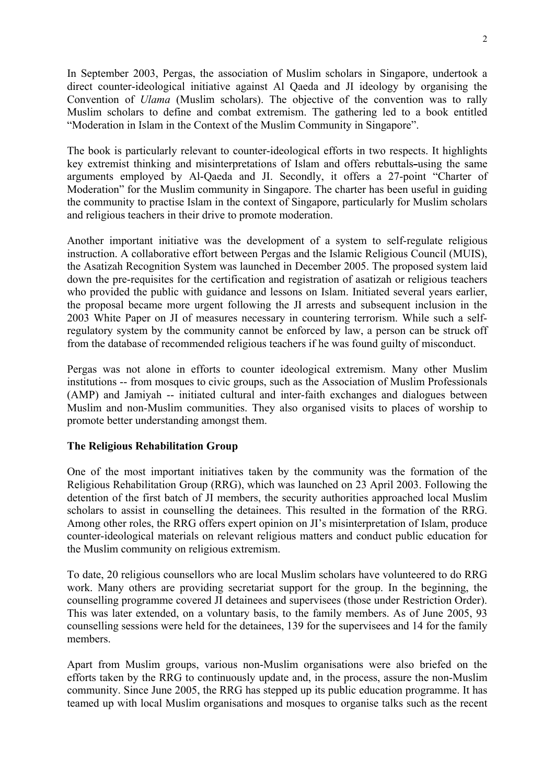In September 2003, Pergas, the association of Muslim scholars in Singapore, undertook a direct counter-ideological initiative against Al Qaeda and JI ideology by organising the Convention of *Ulama* (Muslim scholars). The objective of the convention was to rally Muslim scholars to define and combat extremism. The gathering led to a book entitled "Moderation in Islam in the Context of the Muslim Community in Singapore".

The book is particularly relevant to counter-ideological efforts in two respects. It highlights key extremist thinking and misinterpretations of Islam and offers rebuttals-using the same arguments employed by Al-Qaeda and JI. Secondly, it offers a 27-point "Charter of Moderation" for the Muslim community in Singapore. The charter has been useful in guiding the community to practise Islam in the context of Singapore, particularly for Muslim scholars and religious teachers in their drive to promote moderation.

Another important initiative was the development of a system to self-regulate religious instruction. A collaborative effort between Pergas and the Islamic Religious Council (MUIS), the Asatizah Recognition System was launched in December 2005. The proposed system laid down the pre-requisites for the certification and registration of asatizah or religious teachers who provided the public with guidance and lessons on Islam. Initiated several years earlier, the proposal became more urgent following the JI arrests and subsequent inclusion in the 2003 White Paper on JI of measures necessary in countering terrorism. While such a selfregulatory system by the community cannot be enforced by law, a person can be struck off from the database of recommended religious teachers if he was found guilty of misconduct.

Pergas was not alone in efforts to counter ideological extremism. Many other Muslim institutions -- from mosques to civic groups, such as the Association of Muslim Professionals (AMP) and Jamiyah -- initiated cultural and inter-faith exchanges and dialogues between Muslim and non-Muslim communities. They also organised visits to places of worship to promote better understanding amongst them.

#### **The Religious Rehabilitation Group**

One of the most important initiatives taken by the community was the formation of the Religious Rehabilitation Group (RRG), which was launched on 23 April 2003. Following the detention of the first batch of JI members, the security authorities approached local Muslim scholars to assist in counselling the detainees. This resulted in the formation of the RRG. Among other roles, the RRG offers expert opinion on JI's misinterpretation of Islam, produce counter-ideological materials on relevant religious matters and conduct public education for the Muslim community on religious extremism.

To date, 20 religious counsellors who are local Muslim scholars have volunteered to do RRG work. Many others are providing secretariat support for the group. In the beginning, the counselling programme covered JI detainees and supervisees (those under Restriction Order). This was later extended, on a voluntary basis, to the family members. As of June 2005, 93 counselling sessions were held for the detainees, 139 for the supervisees and 14 for the family members.

Apart from Muslim groups, various non-Muslim organisations were also briefed on the efforts taken by the RRG to continuously update and, in the process, assure the non-Muslim community. Since June 2005, the RRG has stepped up its public education programme. It has teamed up with local Muslim organisations and mosques to organise talks such as the recent